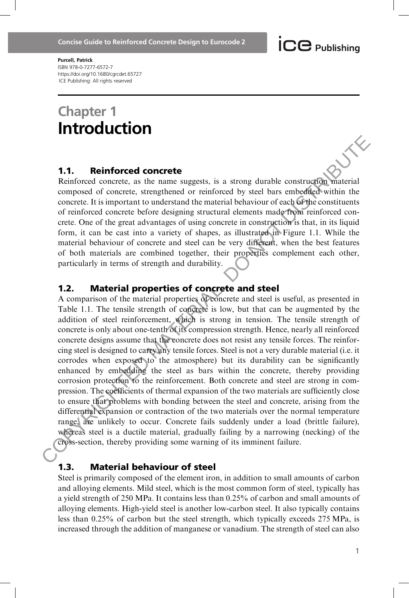**ICC** Publishing

Purcell, Patrick ISBN 978-0-7277-6572-7 https://doi.org/10.1680/cgrcdet.65727 ICE Publishing: All rights reserved

# Chapter 1 Introduction

#### 1.1. Reinforced concrete

Reinforced concrete, as the name suggests, is a strong durable construction material composed of concrete, strengthened or reinforced by steel bars embedded within the concrete. It is important to understand the material behaviour of each of the constituents of reinforced concrete before designing structural elements made from reinforced concrete. One of the great advantages of using concrete in construction is that, in its liquid form, it can be cast into a variety of shapes, as illustrated in Figure 1.1. While the material behaviour of concrete and steel can be very different, when the best features of both materials are combined together, their properties complement each other, particularly in terms of strength and durability.

#### 1.2. Material properties of concrete and steel

A comparison of the material properties of concrete and steel is useful, as presented in Table 1.1. The tensile strength of concrete is low, but that can be augmented by the addition of steel reinforcement, which is strong in tension. The tensile strength of concrete is only about one-tenth of its compression strength. Hence, nearly all reinforced concrete designs assume that the concrete does not resist any tensile forces. The reinforcing steel is designed to carry any tensile forces. Steel is not a very durable material (i.e. it corrodes when exposed to the atmosphere) but its durability can be significantly enhanced by embedding the steel as bars within the concrete, thereby providing corrosion protection to the reinforcement. Both concrete and steel are strong in compression. The coefficients of thermal expansion of the two materials are sufficiently close to ensure that problems with bonding between the steel and concrete, arising from the differential expansion or contraction of the two materials over the normal temperature range, are unlikely to occur. Concrete fails suddenly under a load (brittle failure), whereas steel is a ductile material, gradually failing by a narrowing (necking) of the cross-section, thereby providing some warning of its imminent failure. **1.1. Reinforced concrete**<br>Reinforced concrete, as the name suggests, is a strong durable construction correction and<br>concrete. It is important to understand the material behaviour of each defined wintin the<br>concrete. It

### 1.3. Material behaviour of steel

Steel is primarily composed of the element iron, in addition to small amounts of carbon and alloying elements. Mild steel, which is the most common form of steel, typically has a yield strength of 250 MPa. It contains less than 0.25% of carbon and small amounts of alloying elements. High-yield steel is another low-carbon steel. It also typically contains less than 0.25% of carbon but the steel strength, which typically exceeds 275 MPa, is increased through the addition of manganese or vanadium. The strength of steel can also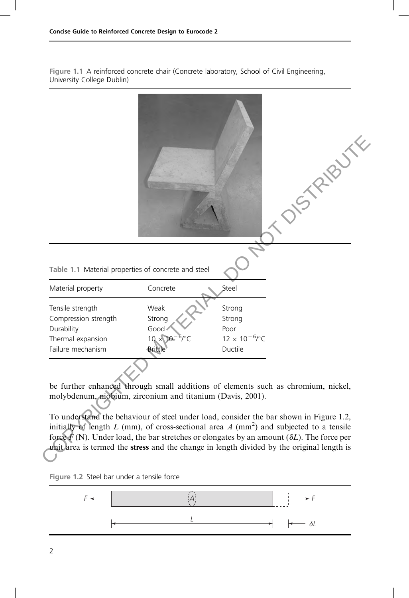Figure 1.1 A reinforced concrete chair (Concrete laboratory, School of Civil Engineering, University College Dublin)



be further enhanced through small additions of elements such as chromium, nickel, molybdenum, niobium, zirconium and titanium (Davis, 2001).

To understand the behaviour of steel under load, consider the bar shown in Figure 1.2, initially of length L (mm), of cross-sectional area A (mm<sup>2</sup>) and subjected to a tensile force  $\mathbf{F}(\mathbf{N})$ . Under load, the bar stretches or elongates by an amount ( $\delta L$ ). The force per unit area is termed the stress and the change in length divided by the original length is



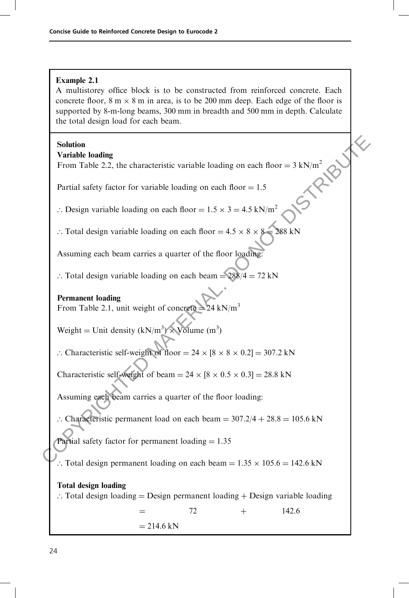## Example 2.1

A multistorey office block is to be constructed from reinforced concrete. Each concrete floor,  $8 \text{ m} \times 8 \text{ m}$  in area, is to be 200 mm deep. Each edge of the floor is supported by 8-m-long beams, 300 mm in breadth and 500 mm in depth. Calculate the total design load for each beam.

## Solution

## Variable loading

|  | <b>Solution</b><br><b>Variable loading</b>                                                                            |  |
|--|-----------------------------------------------------------------------------------------------------------------------|--|
|  | From Table 2.2, the characteristic variable loading on each floor = $3 \text{ kN/m}^2$                                |  |
|  | Partial safety factor for variable loading on each floor $= 1.5$                                                      |  |
|  | : Design variable loading on each floor = $1.5 \times 3 = 4.5$ kN/m <sup>2</sup>                                      |  |
|  | $288$ kN<br>: Total design variable loading on each floor = $4.5 \times 8 \times 8$                                   |  |
|  | Assuming each beam carries a quarter of the floor loading:                                                            |  |
|  | : Total design variable loading on each beam = $288/4 = 72$ kN                                                        |  |
|  | <b>Permanent loading</b><br>From Table 2.1, unit weight of concrete $=$ 24 kN/m <sup>3</sup>                          |  |
|  | Weight = Unit density $(kN/m^3) \times$ Volume (m <sup>3</sup> )                                                      |  |
|  | : Characteristic self-weight of floor = $24 \times [8 \times 8 \times 0.2] = 307.2$ kN                                |  |
|  | Characteristic self-weight of beam = $24 \times [8 \times 0.5 \times 0.3] = 28.8$ kN                                  |  |
|  | Assuming each beam carries a quarter of the floor loading:                                                            |  |
|  | :. Characteristic permanent load on each beam = $307.2/4 + 28.8 = 105.6$ kN                                           |  |
|  | Partial safety factor for permanent loading $= 1.35$                                                                  |  |
|  | :. Total design permanent loading on each beam = $1.35 \times 105.6 = 142.6$ kN                                       |  |
|  | <b>Total design loading</b><br>$\therefore$ Total design loading = Design permanent loading + Design variable loading |  |
|  | 142.6<br>72<br>$^{+}$                                                                                                 |  |
|  | $= 214.6$ kN                                                                                                          |  |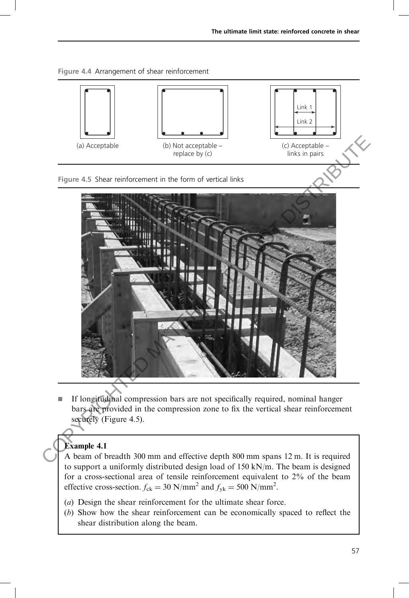



If longitudinal compression bars are not specifically required, nominal hanger bars are provided in the compression zone to fix the vertical shear reinforcement securely (Figure 4.5).

# Example 4.1

A beam of breadth 300 mm and effective depth 800 mm spans 12 m. It is required to support a uniformly distributed design load of 150 kN/m. The beam is designed for a cross-sectional area of tensile reinforcement equivalent to 2% of the beam effective cross-section.  $f_{ck} = 30 \text{ N/mm}^2$  and  $f_{yk} = 500 \text{ N/mm}^2$ .

- (a) Design the shear reinforcement for the ultimate shear force.
- (b) Show how the shear reinforcement can be economically spaced to reflect the shear distribution along the beam.